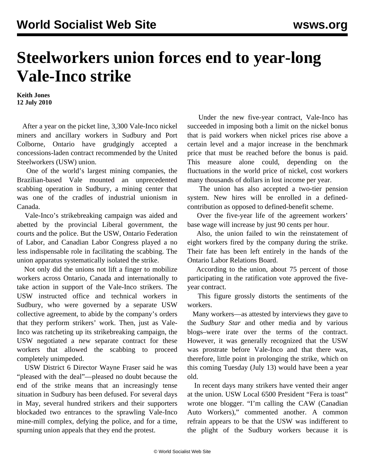## **Steelworkers union forces end to year-long Vale-Inco strike**

**Keith Jones 12 July 2010**

 After a year on the picket line, 3,300 Vale-Inco nickel miners and ancillary workers in Sudbury and Port Colborne, Ontario have grudgingly accepted a concessions-laden contract recommended by the United Steelworkers (USW) union.

 One of the world's largest mining companies, the Brazilian-based Vale mounted an unprecedented scabbing operation in Sudbury, a mining center that was one of the cradles of industrial unionism in Canada.

 Vale-Inco's strikebreaking campaign was aided and abetted by the provincial Liberal government, the courts and the police. But the USW, Ontario Federation of Labor, and Canadian Labor Congress played a no less indispensable role in facilitating the scabbing. The union apparatus systematically isolated the strike.

 Not only did the unions not lift a finger to mobilize workers across Ontario, Canada and internationally to take action in support of the Vale-Inco strikers. The USW instructed office and technical workers in Sudbury, who were governed by a separate USW collective agreement, to abide by the company's orders that they perform strikers' work. Then, just as Vale-Inco was ratcheting up its strikebreaking campaign, the USW negotiated a new separate contract for these workers that allowed the scabbing to proceed completely unimpeded.

 USW District 6 Director Wayne Fraser said he was "pleased with the deal"—pleased no doubt because the end of the strike means that an increasingly tense situation in Sudbury has been defused. For several days in May, several hundred strikers and their supporters blockaded two entrances to the sprawling Vale-Inco mine-mill complex, defying the police, and for a time, spurning union appeals that they end the protest.

 Under the new five-year contract, Vale-Inco has succeeded in imposing both a limit on the nickel bonus that is paid workers when nickel prices rise above a certain level and a major increase in the benchmark price that must be reached before the bonus is paid. This measure alone could, depending on the fluctuations in the world price of nickel, cost workers many thousands of dollars in lost income per year.

 The union has also accepted a two-tier pension system. New hires will be enrolled in a definedcontribution as opposed to defined-benefit scheme.

 Over the five-year life of the agreement workers' base wage will increase by just 90 cents per hour.

 Also, the union failed to win the reinstatement of eight workers fired by the company during the strike. Their fate has been left entirely in the hands of the Ontario Labor Relations Board.

 According to the union, about 75 percent of those participating in the ratification vote approved the fiveyear contract.

 This figure grossly distorts the sentiments of the workers.

 Many workers—as attested by interviews they gave to the *Sudbury Star* and other media and by various blogs–were irate over the terms of the contract. However, it was generally recognized that the USW was prostrate before Vale-Inco and that there was, therefore, little point in prolonging the strike, which on this coming Tuesday (July 13) would have been a year old.

 In recent days many strikers have vented their anger at the union. USW Local 6500 President "Fera is toast" wrote one blogger. "I'm calling the CAW (Canadian Auto Workers)," commented another. A common refrain appears to be that the USW was indifferent to the plight of the Sudbury workers because it is